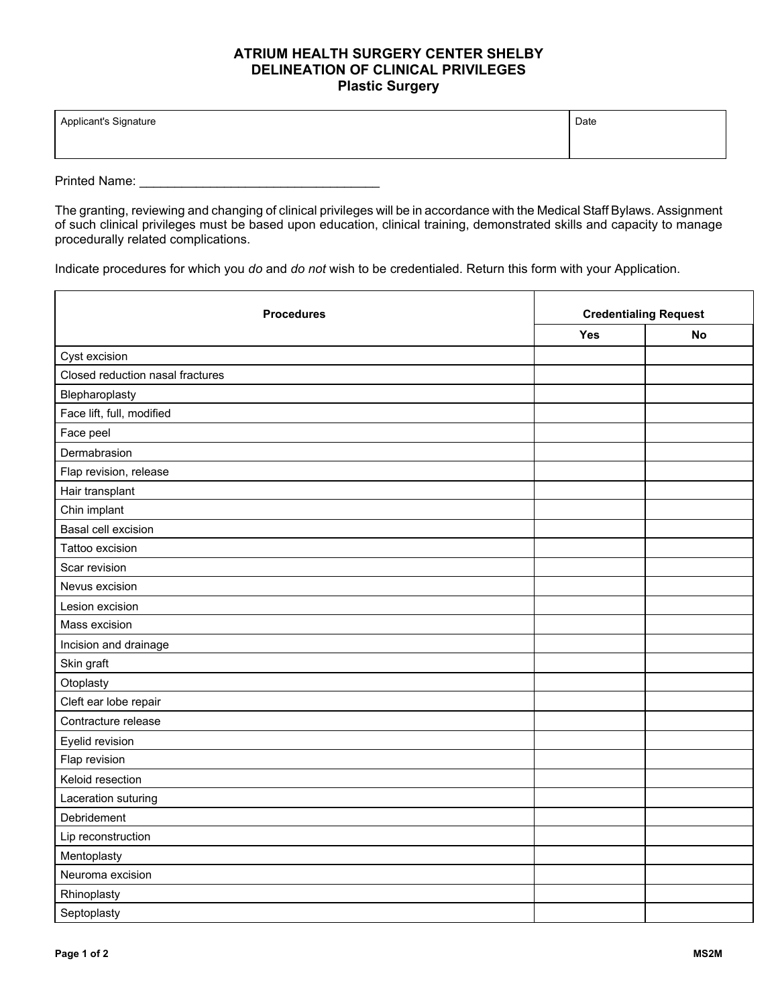## **ATRIUM HEALTH SURGERY CENTER SHELBY DELINEATION OF CLINICAL PRIVILEGES Plastic Surgery**

| Applicant's Signature | Date |
|-----------------------|------|
|                       |      |

Printed Name: \_\_\_\_\_\_\_\_\_\_\_\_\_\_\_\_\_\_\_\_\_\_\_\_\_\_\_\_\_\_\_\_\_\_

The granting, reviewing and changing of clinical privileges will be in accordance with the Medical Staff Bylaws. Assignment of such clinical privileges must be based upon education, clinical training, demonstrated skills and capacity to manage procedurally related complications.

Indicate procedures for which you *do* and *do not* wish to be credentialed. Return this form with your Application.

| <b>Procedures</b>                | <b>Credentialing Request</b> |           |
|----------------------------------|------------------------------|-----------|
|                                  | Yes                          | <b>No</b> |
| Cyst excision                    |                              |           |
| Closed reduction nasal fractures |                              |           |
| Blepharoplasty                   |                              |           |
| Face lift, full, modified        |                              |           |
| Face peel                        |                              |           |
| Dermabrasion                     |                              |           |
| Flap revision, release           |                              |           |
| Hair transplant                  |                              |           |
| Chin implant                     |                              |           |
| Basal cell excision              |                              |           |
| Tattoo excision                  |                              |           |
| Scar revision                    |                              |           |
| Nevus excision                   |                              |           |
| Lesion excision                  |                              |           |
| Mass excision                    |                              |           |
| Incision and drainage            |                              |           |
| Skin graft                       |                              |           |
| Otoplasty                        |                              |           |
| Cleft ear lobe repair            |                              |           |
| Contracture release              |                              |           |
| Eyelid revision                  |                              |           |
| Flap revision                    |                              |           |
| Keloid resection                 |                              |           |
| Laceration suturing              |                              |           |
| Debridement                      |                              |           |
| Lip reconstruction               |                              |           |
| Mentoplasty                      |                              |           |
| Neuroma excision                 |                              |           |
| Rhinoplasty                      |                              |           |
| Septoplasty                      |                              |           |